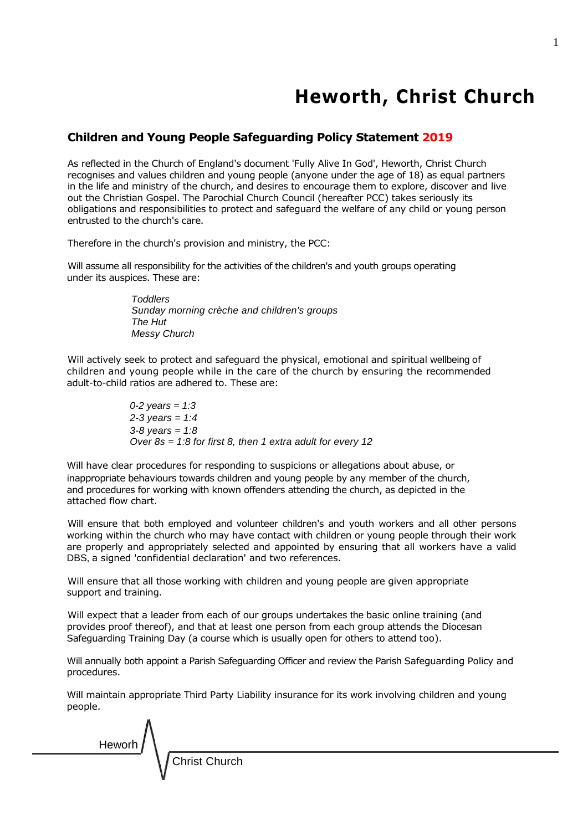# **Heworth, Christ Church**

# **Children and Young People Safeguarding Policy Statement 2019**

As reflected in the Church of England's document 'Fully Alive In God', Heworth, Christ Church recognises and values children and young people (anyone under the age of 18) as equal partners in the life and ministry of the church, and desires to encourage them to explore, discover and live out the Christian Gospel. The Parochial Church Council (hereafter PCC) takes seriously its obligations and responsibilities to protect and safeguard the welfare of any child or young person entrusted to the church's care.

Therefore in the church's provision and ministry, the PCC:

Will assume all responsibility for the activities of the children's and youth groups operating under its auspices. These are:

> *Toddlers Sunday morning crèche and children's groups The Hut Messy Church*

Will actively seek to protect and safeguard the physical, emotional and spiritual wellbeing of children and young people while in the care of the church by ensuring the recommended adult-to-child ratios are adhered to. These are:

> *0-2 years = 1:3 2-3 years = 1:4 3-8 years = 1:8 Over 8s = 1:8 for first 8, then 1 extra adult for every 12*

Will have clear procedures for responding to suspicions or allegations about abuse, or inappropriate behaviours towards children and young people by any member of the church, and procedures for working with known offenders attending the church, as depicted in the attached flow chart.

Will ensure that both employed and volunteer children's and youth workers and all other persons working within the church who may have contact with children or young people through their work are properly and appropriately selected and appointed by ensuring that all workers have a valid DBS, a signed 'confidential declaration' and two references.

Will ensure that all those working with children and young people are given appropriate support and training.

Will expect that a leader from each of our groups undertakes the basic online training (and provides proof thereof), and that at least one person from each group attends the Diocesan Safeguarding Training Day (a course which is usually open for others to attend too).

Will annually both appoint a Parish Safeguarding Officer and review the Parish Safeguarding Policy and procedures.

Will maintain appropriate Third Party Liability insurance for its work involving children and young people.



1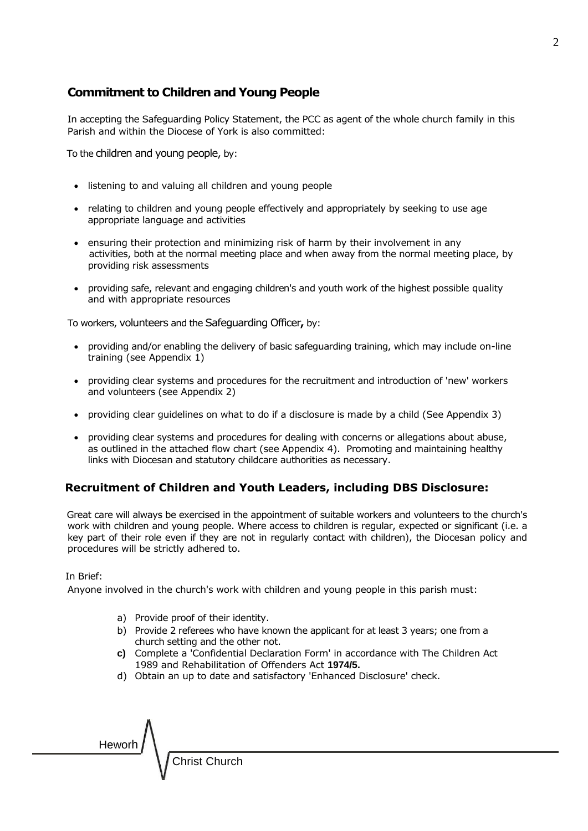## **Commitment to Children and Young People**

In accepting the Safeguarding Policy Statement, the PCC as agent of the whole church family in this Parish and within the Diocese of York is also committed:

To the children and young people, by:

- listening to and valuing all children and young people
- relating to children and young people effectively and appropriately by seeking to use age appropriate language and activities
- ensuring their protection and minimizing risk of harm by their involvement in any activities, both at the normal meeting place and when away from the normal meeting place, by providing risk assessments
- providing safe, relevant and engaging children's and youth work of the highest possible quality and with appropriate resources

To workers, volunteers and the Safeguarding Officer**,** by:

- providing and/or enabling the delivery of basic safeguarding training, which may include on-line training (see Appendix 1)
- providing clear systems and procedures for the recruitment and introduction of 'new' workers and volunteers (see Appendix 2)
- providing clear guidelines on what to do if a disclosure is made by a child (See Appendix 3)
- providing clear systems and procedures for dealing with concerns or allegations about abuse, as outlined in the attached flow chart (see Appendix 4). Promoting and maintaining healthy links with Diocesan and statutory childcare authorities as necessary.

### **Recruitment of Children and Youth Leaders, including DBS Disclosure:**

Great care will always be exercised in the appointment of suitable workers and volunteers to the church's work with children and young people. Where access to children is regular, expected or significant (i.e. a key part of their role even if they are not in regularly contact with children), the Diocesan policy and procedures will be strictly adhered to.

#### In Brief:

Anyone involved in the church's work with children and young people in this parish must:

- a) Provide proof of their identity.
- b) Provide 2 referees who have known the applicant for at least 3 years; one from a church setting and the other not.
- **c)** Complete a 'Confidential Declaration Form' in accordance with The Children Act 1989 and Rehabilitation of Offenders Act **1974/5.**
- d) Obtain an up to date and satisfactory 'Enhanced Disclosure' check.

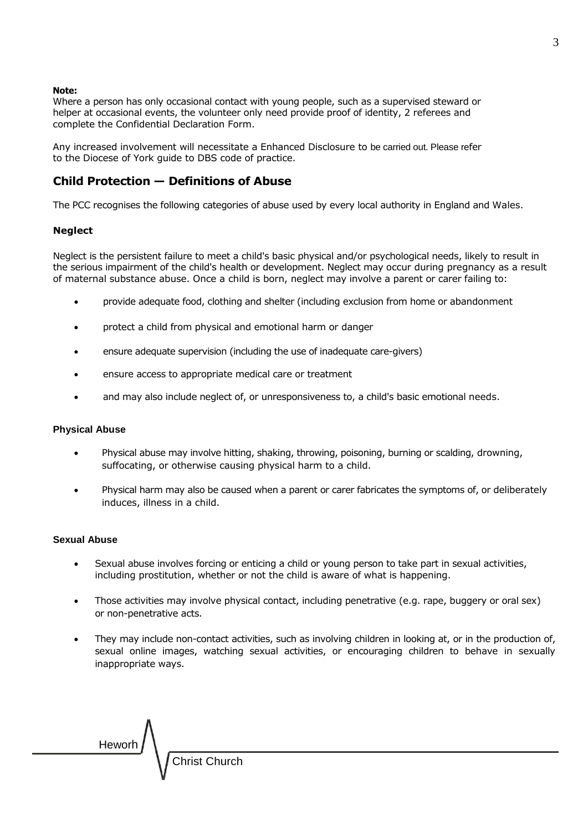#### **Note:**

Where a person has only occasional contact with young people, such as a supervised steward or helper at occasional events, the volunteer only need provide proof of identity, 2 referees and complete the Confidential Declaration Form.

Any increased involvement will necessitate a Enhanced Disclosure to be carried out. Please refer to the Diocese of York guide to DBS code of practice.

### **Child Protection — Definitions of Abuse**

The PCC recognises the following categories of abuse used by every local authority in England and Wales.

#### **Neglect**

Neglect is the persistent failure to meet a child's basic physical and/or psychological needs, likely to result in the serious impairment of the child's health or development. Neglect may occur during pregnancy as a result of maternal substance abuse. Once a child is born, neglect may involve a parent or carer failing to:

- provide adequate food, clothing and shelter (including exclusion from home or abandonment
- protect a child from physical and emotional harm or danger
- ensure adequate supervision (including the use of inadequate care-givers)
- ensure access to appropriate medical care or treatment
- and may also include neglect of, or unresponsiveness to, a child's basic emotional needs.

#### **Physical Abuse**

- Physical abuse may involve hitting, shaking, throwing, poisoning, burning or scalding, drowning, suffocating, or otherwise causing physical harm to a child.
- Physical harm may also be caused when a parent or carer fabricates the symptoms of, or deliberately induces, illness in a child.

#### **Sexual Abuse**

- Sexual abuse involves forcing or enticing a child or young person to take part in sexual activities, including prostitution, whether or not the child is aware of what is happening.
- Those activities may involve physical contact, including penetrative (e.g. rape, buggery or oral sex) or non-penetrative acts.
- They may include non-contact activities, such as involving children in looking at, or in the production of, sexual online images, watching sexual activities, or encouraging children to behave in sexually inappropriate ways.

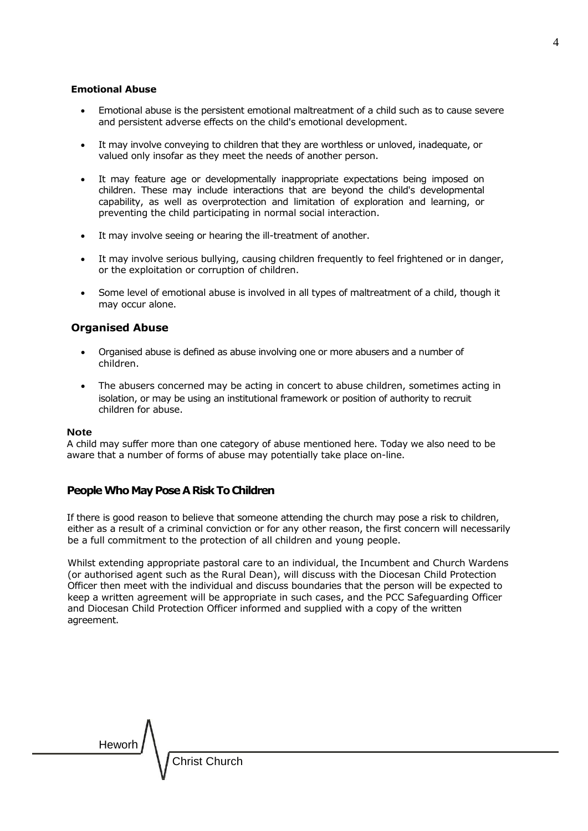#### **Emotional Abuse**

- Emotional abuse is the persistent emotional maltreatment of a child such as to cause severe and persistent adverse effects on the child's emotional development.
- It may involve conveying to children that they are worthless or unloved, inadequate, or valued only insofar as they meet the needs of another person.
- It may feature age or developmentally inappropriate expectations being imposed on children. These may include interactions that are beyond the child's developmental capability, as well as overprotection and limitation of exploration and learning, or preventing the child participating in normal social interaction.
- It may involve seeing or hearing the ill-treatment of another.
- It may involve serious bullying, causing children frequently to feel frightened or in danger, or the exploitation or corruption of children.
- Some level of emotional abuse is involved in all types of maltreatment of a child, though it may occur alone.

### **Organised Abuse**

- Organised abuse is defined as abuse involving one or more abusers and a number of children.
- The abusers concerned may be acting in concert to abuse children, sometimes acting in isolation, or may be using an institutional framework or position of authority to recruit children for abuse.

#### **Note**

A child may suffer more than one category of abuse mentioned here. Today we also need to be aware that a number of forms of abuse may potentially take place on-line.

#### **People Who May Pose A Risk To Children**

If there is good reason to believe that someone attending the church may pose a risk to children, either as a result of a criminal conviction or for any other reason, the first concern will necessarily be a full commitment to the protection of all children and young people.

Whilst extending appropriate pastoral care to an individual, the Incumbent and Church Wardens (or authorised agent such as the Rural Dean), will discuss with the Diocesan Child Protection Officer then meet with the individual and discuss boundaries that the person will be expected to keep a written agreement will be appropriate in such cases, and the PCC Safeguarding Officer and Diocesan Child Protection Officer informed and supplied with a copy of the written agreement.

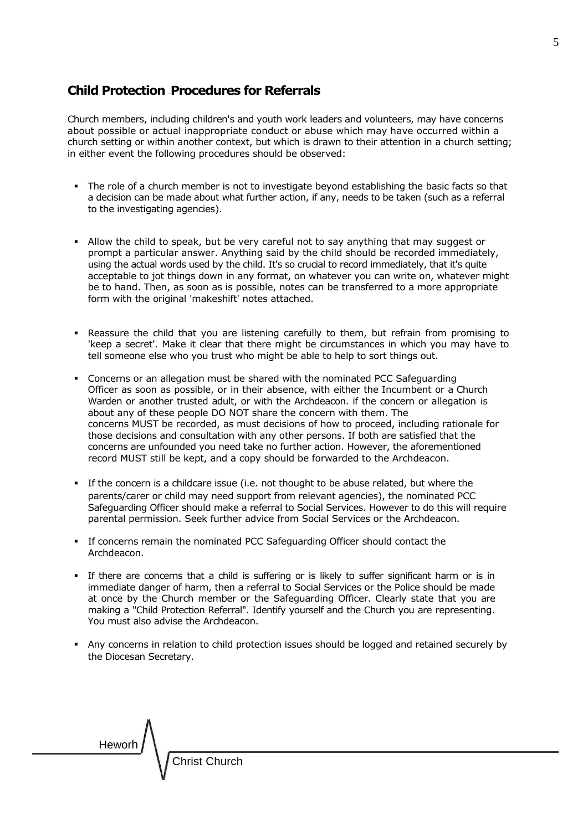### **Child Protection —Procedures for Referrals**

Church members, including children's and youth work leaders and volunteers, may have concerns about possible or actual inappropriate conduct or abuse which may have occurred within a church setting or within another context, but which is drawn to their attention in a church setting; in either event the following procedures should be observed:

- The role of a church member is not to investigate beyond establishing the basic facts so that a decision can be made about what further action, if any, needs to be taken (such as a referral to the investigating agencies).
- **.** Allow the child to speak, but be very careful not to say anything that may suggest or prompt a particular answer. Anything said by the child should be recorded immediately, using the actual words used by the child. It's so crucial to record immediately, that it's quite acceptable to jot things down in any format, on whatever you can write on, whatever might be to hand. Then, as soon as is possible, notes can be transferred to a more appropriate form with the original 'makeshift' notes attached.
- Reassure the child that you are listening carefully to them, but refrain from promising to 'keep a secret'. Make it clear that there might be circumstances in which you may have to tell someone else who you trust who might be able to help to sort things out.
- **Concerns or an allegation must be shared with the nominated PCC Safeguarding** Officer as soon as possible, or in their absence, with either the Incumbent or a Church Warden or another trusted adult, or with the Archdeacon. if the concern or allegation is about any of these people DO NOT share the concern with them. The concerns MUST be recorded, as must decisions of how to proceed, including rationale for those decisions and consultation with any other persons. If both are satisfied that the concerns are unfounded you need take no further action. However, the aforementioned record MUST still be kept, and a copy should be forwarded to the Archdeacon.
- If the concern is a childcare issue (i.e. not thought to be abuse related, but where the parents/carer or child may need support from relevant agencies), the nominated PCC Safeguarding Officer should make a referral to Social Services. However to do this will require parental permission. Seek further advice from Social Services or the Archdeacon.
- **·** If concerns remain the nominated PCC Safeguarding Officer should contact the Archdeacon.
- **•** If there are concerns that a child is suffering or is likely to suffer significant harm or is in immediate danger of harm, then a referral to Social Services or the Police should be made at once by the Church member or the Safeguarding Officer. Clearly state that you are making a "Child Protection Referral". Identify yourself and the Church you are representing. You must also advise the Archdeacon.
- **•** Any concerns in relation to child protection issues should be logged and retained securely by the Diocesan Secretary.

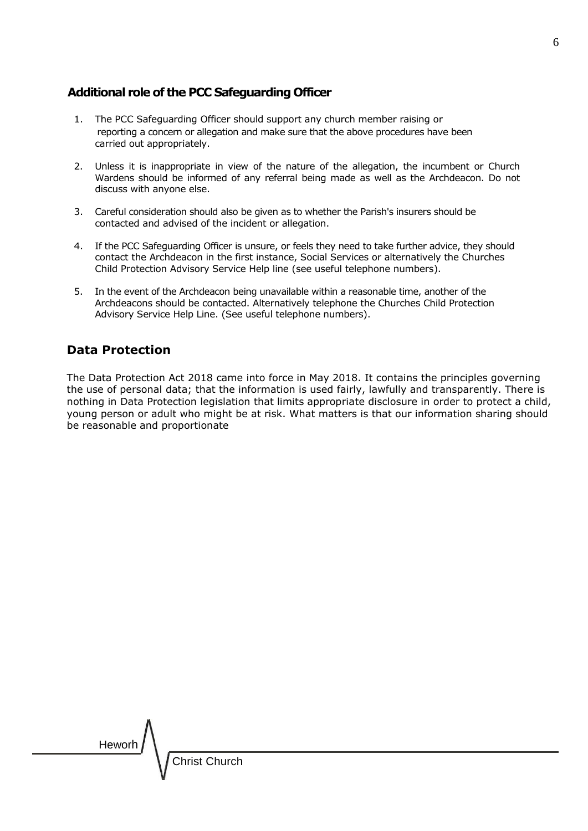### **Additional role of the PCC Safeguarding Officer**

- 1. The PCC Safeguarding Officer should support any church member raising or reporting a concern or allegation and make sure that the above procedures have been carried out appropriately.
- 2. Unless it is inappropriate in view of the nature of the allegation, the incumbent or Church Wardens should be informed of any referral being made as well as the Archdeacon. Do not discuss with anyone else.
- 3. Careful consideration should also be given as to whether the Parish's insurers should be contacted and advised of the incident or allegation.
- 4. If the PCC Safeguarding Officer is unsure, or feels they need to take further advice, they should contact the Archdeacon in the first instance, Social Services or alternatively the Churches Child Protection Advisory Service Help line (see useful telephone numbers).
- 5. In the event of the Archdeacon being unavailable within a reasonable time, another of the Archdeacons should be contacted. Alternatively telephone the Churches Child Protection Advisory Service Help Line. (See useful telephone numbers).

# **Data Protection**

The Data Protection Act 2018 came into force in May 2018. It contains the principles governing the use of personal data; that the information is used fairly, lawfully and transparently. There is nothing in Data Protection legislation that limits appropriate disclosure in order to protect a child, young person or adult who might be at risk. What matters is that our information sharing should be reasonable and proportionate

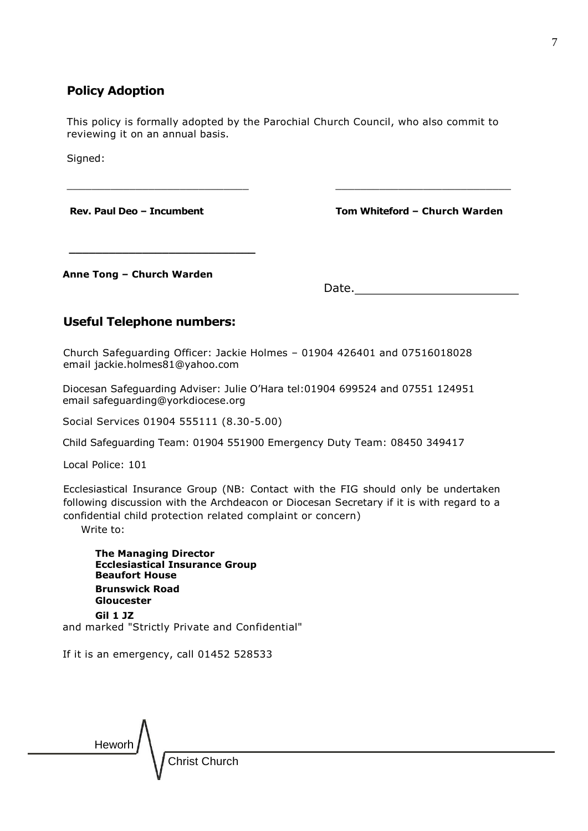### **Policy Adoption**

This policy is formally adopted by the Parochial Church Council, who also commit to reviewing it on an annual basis.

 $\_$  , and the set of the set of the set of the set of the set of the set of the set of the set of the set of the set of the set of the set of the set of the set of the set of the set of the set of the set of the set of th

 **\_\_\_\_\_\_\_\_\_\_\_\_\_\_\_\_\_\_\_\_\_\_\_\_\_\_\_\_** 

Signed:

**Rev. Paul Deo – Incumbent Tom Whiteford – Church Warden**

**Anne Tong – Church Warden**

Date.

# **Useful Telephone numbers:**

Church Safeguarding Officer: Jackie Holmes – 01904 426401 and 07516018028 email [jackie.holmes81@yahoo.com](mailto:jackie.holmes81@yahoo.com)

Diocesan Safeguarding Adviser: Julie O'Hara tel:01904 699524 and 07551 124951 email safeguarding@yorkdiocese.org

Social Services 01904 555111 (8.30-5.00)

Child Safeguarding Team: 01904 551900 Emergency Duty Team: 08450 349417

Local Police: 101

Ecclesiastical Insurance Group (NB: Contact with the FIG should only be undertaken following discussion with the Archdeacon or Diocesan Secretary if it is with regard to a confidential child protection related complaint or concern)

Write to:

**The Managing Director Ecclesiastical Insurance Group Beaufort House Brunswick Road Gloucester Gil 1 JZ** and marked "Strictly Private and Confidential"

If it is an emergency, call 01452 528533

Heworh Christ Church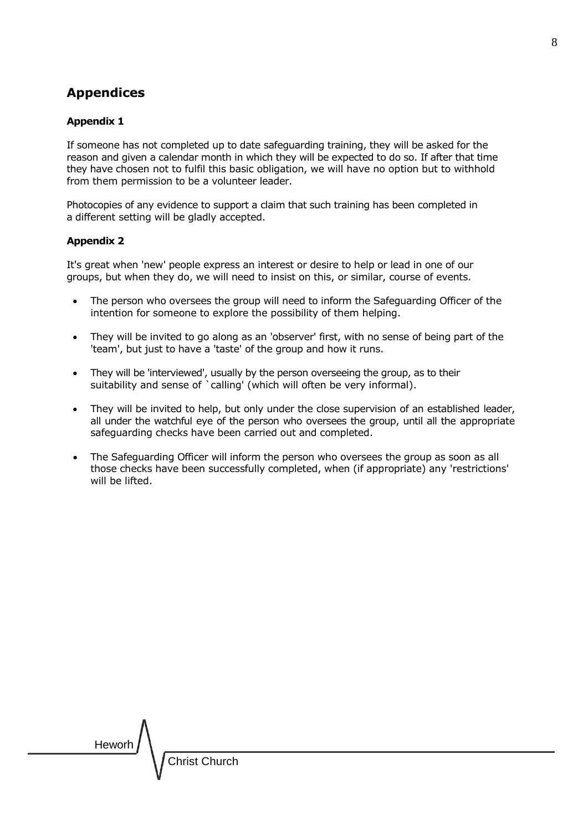# **Appendices**

### **Appendix 1**

If someone has not completed up to date safeguarding training, they will be asked for the reason and given a calendar month in which they will be expected to do so. If after that time they have chosen not to fulfil this basic obligation, we will have no option but to withhold from them permission to be a volunteer leader.

Photocopies of any evidence to support a claim that such training has been completed in a different setting will be gladly accepted.

### **Appendix 2**

It's great when 'new' people express an interest or desire to help or lead in one of our groups, but when they do, we will need to insist on this, or similar, course of events.

- The person who oversees the group will need to inform the Safeguarding Officer of the intention for someone to explore the possibility of them helping.
- They will be invited to go along as an 'observer' first, with no sense of being part of the 'team', but just to have a 'taste' of the group and how it runs.
- They will be 'interviewed', usually by the person overseeing the group, as to their suitability and sense of `calling' (which will often be very informal).
- They will be invited to help, but only under the close supervision of an established leader, all under the watchful eye of the person who oversees the group, until all the appropriate safeguarding checks have been carried out and completed.
- The Safeguarding Officer will inform the person who oversees the group as soon as all those checks have been successfully completed, when (if appropriate) any 'restrictions' will be lifted.

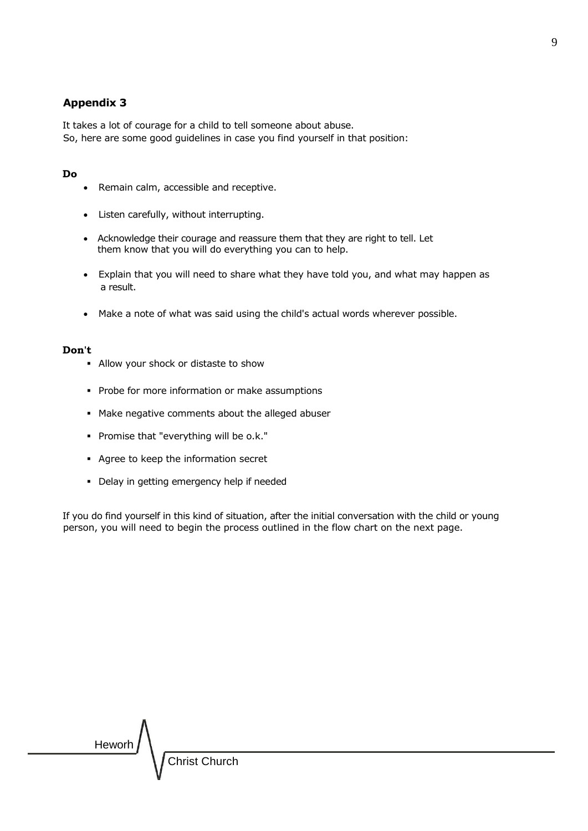### **Appendix 3**

It takes a lot of courage for a child to tell someone about abuse. So, here are some good guidelines in case you find yourself in that position:

#### **Do**

- Remain calm, accessible and receptive.
- Listen carefully, without interrupting.
- Acknowledge their courage and reassure them that they are right to tell. Let them know that you will do everything you can to help.
- Explain that you will need to share what they have told you, and what may happen as a result.
- Make a note of what was said using the child's actual words wherever possible.

#### **Don't**

- Allow your shock or distaste to show
- **Probe for more information or make assumptions**
- Make negative comments about the alleged abuser
- Promise that "everything will be o.k."
- Agree to keep the information secret
- Delay in getting emergency help if needed

If you do find yourself in this kind of situation, after the initial conversation with the child or young person, you will need to begin the process outlined in the flow chart on the next page.